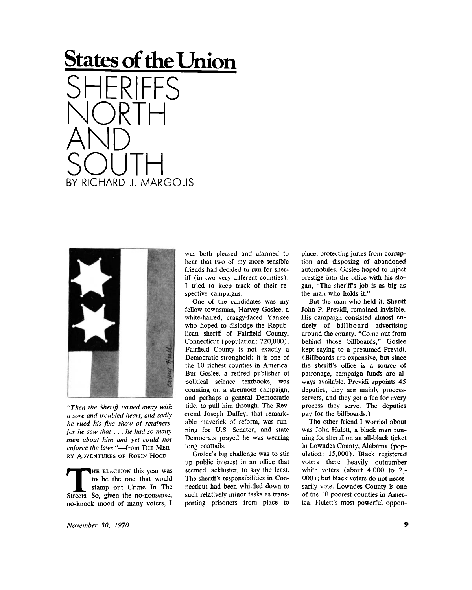## **States of the Union**  SHERIFFS NORTH AND SOUTH BY RICHARD J. MARGOLIS



*"Then the Sheriff turned away with a sore and troubled heart, and sadly he rued his fine show of retainers, for he saw that . . . he had so many men about him and yet could not enforce the laws."*—from THE MER-RY ADVENTURES OF ROBIN HOOD

THE ELECTION this year was<br>to be the one that would<br>stamp out Crime In The<br>Streets. So, given the no-nonsense, HE ELECTION this year was to be the one that would stamp out Crime In The no-knock mood of many voters, I

was both pleased and alarmed to hear that two of my more sensible friends had decided to run for sheriff (in two very different counties). I tried to keep track of their respective campaigns.

One of the candidates was my fellow townsman, Harvey Goslee, a white-haired, craggy-faced Yankee who hoped to dislodge the Republican sheriff of Fairfield County, Connecticut (population: 720,000). Fairfield County is not exactly a Democratic stronghold: it is one of the 10 richest counties in America. But Goslee, a retired publisher of political science textbooks, was counting on a strenuous campaign, and perhaps a general Democratic tide, to pull him through. The Reverend Joseph Duffey, that remarkable maverick of reform, was running for U.S. Senator, and state Democrats prayed he was wearing long coattails.

Goslee's big challenge was to stir up public interest in an office that seemed lackluster, to say the least. The sheriffs responsibilities in Connecticut had been whittled down to such relatively minor tasks as transporting prisoners from place to

place, protecting juries from corruption and disposing of abandoned automobiles. Goslee hoped to inject prestige into the office with his slogan, "The sheriff's job is as big as the man who holds it."

But the man who held it, Sheriff John P. Previdi, remained invisible. His campaign consisted almost entirely of billboard advertising around the county. "Come out from behind those billboards," Goslee kept saying to a presumed Previdi. (Billboards are expensive, but since the sheriff's office is a source of patronage, campaign funds are always available. Previdi appoints 45 deputies; they are mainly processservers, and they get a fee for every process they serve. The deputies pay for the billboards.)

The other friend I worried about was John Hulett, a black man running for sheriff on an all-black ticket in Lowndes County, Alabama (population: 15,000). Black registered voters there heavily outnumber white voters (about 4,000 to 2,- 000); but black voters do not necessarily vote. Lowndes County is one of the 10 poorest counties in America. Hulett's most powerful oppon